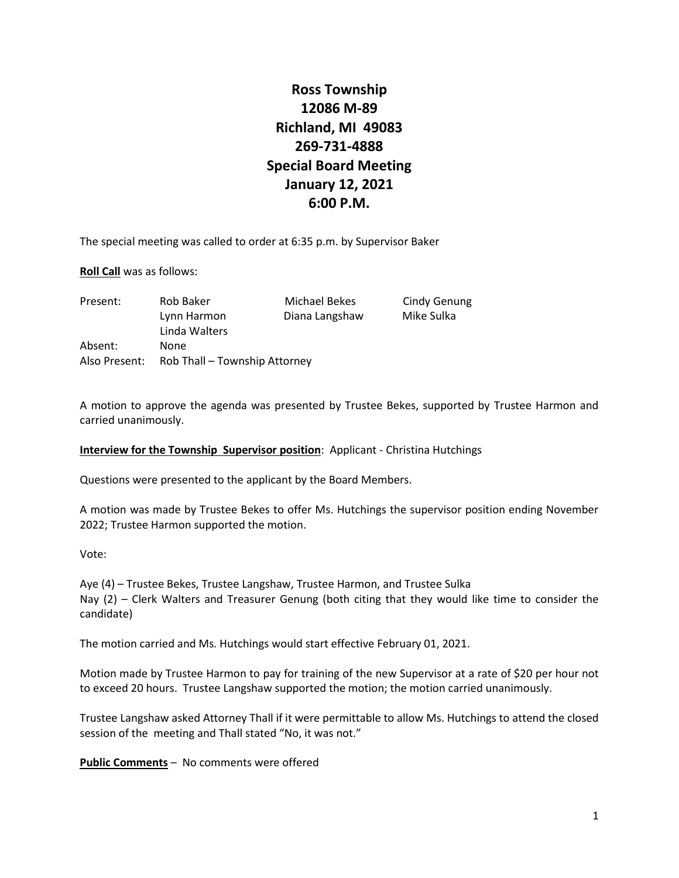## **Ross Township 12086 M-89 Richland, MI 49083 269-731-4888 Special Board Meeting January 12, 2021 6:00 P.M.**

The special meeting was called to order at 6:35 p.m. by Supervisor Baker

**Roll Call** was as follows:

| Present:      | Rob Baker                     | Michael Bekes  | <b>Cindy Genung</b> |
|---------------|-------------------------------|----------------|---------------------|
|               | Lynn Harmon                   | Diana Langshaw | Mike Sulka          |
|               | Linda Walters                 |                |                     |
| Absent:       | None                          |                |                     |
| Also Present: | Rob Thall – Township Attorney |                |                     |

A motion to approve the agenda was presented by Trustee Bekes, supported by Trustee Harmon and carried unanimously.

**Interview for the Township Supervisor position**: Applicant - Christina Hutchings

Questions were presented to the applicant by the Board Members.

A motion was made by Trustee Bekes to offer Ms. Hutchings the supervisor position ending November 2022; Trustee Harmon supported the motion.

Vote:

Aye (4) – Trustee Bekes, Trustee Langshaw, Trustee Harmon, and Trustee Sulka Nay (2) – Clerk Walters and Treasurer Genung (both citing that they would like time to consider the candidate)

The motion carried and Ms. Hutchings would start effective February 01, 2021.

Motion made by Trustee Harmon to pay for training of the new Supervisor at a rate of \$20 per hour not to exceed 20 hours. Trustee Langshaw supported the motion; the motion carried unanimously.

Trustee Langshaw asked Attorney Thall if it were permittable to allow Ms. Hutchings to attend the closed session of the meeting and Thall stated "No, it was not."

**Public Comments** – No comments were offered